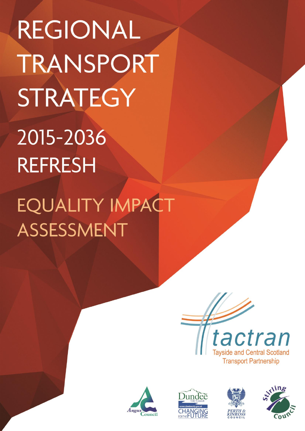**REGIONAL** TRANSPORT STRATEGY 2015-2036 **REFRESH** 

EQUALITY IMPACT ASSESSMENT







 *<b>A Particular Strategy 2015 - 2015 - 2015 - 2015 - 2015 - 2015 - 2015 - 2015 - 2015 - 2015 - 2015 - 2015 - 2015 - 2015 - 2015 - 2015 - 2015 - 2015 - 2015 - 2015 - 2015 - 2015 - 2015 - 2015 - 2015 - 2015 - 2015 - 20* 



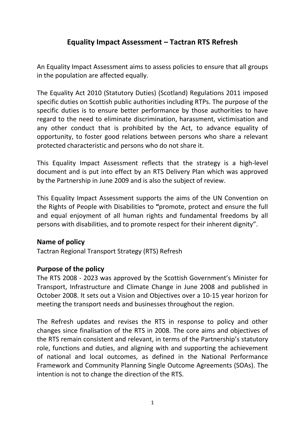# **Equality Impact Assessment – Tactran RTS Refresh**

An Equality Impact Assessment aims to assess policies to ensure that all groups in the population are affected equally.

The Equality Act 2010 (Statutory Duties) (Scotland) Regulations 2011 imposed specific duties on Scottish public authorities including RTPs. The purpose of the specific duties is to ensure better performance by those authorities to have regard to the need to eliminate discrimination, harassment, victimisation and any other conduct that is prohibited by the Act, to advance equality of opportunity, to foster good relations between persons who share a relevant protected characteristic and persons who do not share it.

This Equality Impact Assessment reflects that the strategy is a high-level document and is put into effect by an RTS Delivery Plan which was approved by the Partnership in June 2009 and is also the subject of review.

This Equality Impact Assessment supports the aims of the UN Convention on the Rights of People with Disabilities to **"**promote, protect and ensure the full and equal enjoyment of all human rights and fundamental freedoms by all persons with disabilities, and to promote respect for their inherent dignity".

# **Name of policy**

Tactran Regional Transport Strategy (RTS) Refresh

# **Purpose of the policy**

The RTS 2008 - 2023 was approved by the Scottish Government's Minister for Transport, Infrastructure and Climate Change in June 2008 and published in October 2008. It sets out a Vision and Objectives over a 10-15 year horizon for meeting the transport needs and businesses throughout the region.

The Refresh updates and revises the RTS in response to policy and other changes since finalisation of the RTS in 2008. The core aims and objectives of the RTS remain consistent and relevant, in terms of the Partnership's statutory role, functions and duties, and aligning with and supporting the achievement of national and local outcomes, as defined in the National Performance Framework and Community Planning Single Outcome Agreements (SOAs). The intention is not to change the direction of the RTS.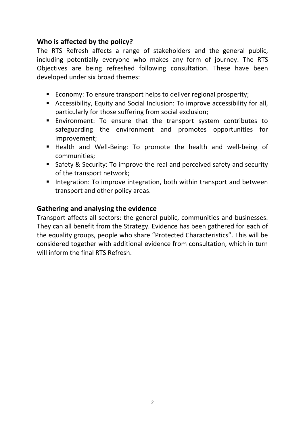# **Who is affected by the policy?**

The RTS Refresh affects a range of stakeholders and the general public, including potentially everyone who makes any form of journey. The RTS Objectives are being refreshed following consultation. These have been developed under six broad themes:

- Economy: To ensure transport helps to deliver regional prosperity:
- Accessibility, Equity and Social Inclusion: To improve accessibility for all, particularly for those suffering from social exclusion;
- Environment: To ensure that the transport system contributes to safeguarding the environment and promotes opportunities for improvement;
- Health and Well-Being: To promote the health and well-being of communities;
- Safety & Security: To improve the real and perceived safety and security of the transport network;
- I Integration: To improve integration, both within transport and between transport and other policy areas.

# **Gathering and analysing the evidence**

Transport affects all sectors: the general public, communities and businesses. They can all benefit from the Strategy. Evidence has been gathered for each of the equality groups, people who share "Protected Characteristics". This will be considered together with additional evidence from consultation, which in turn will inform the final RTS Refresh.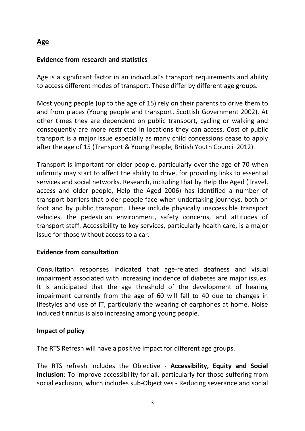# **Age**

# **Evidence from research and statistics**

Age is a significant factor in an individual's transport requirements and ability to access different modes of transport. These differ by different age groups.

Most young people (up to the age of 15) rely on their parents to drive them to and from places (Young people and transport, Scottish Government 2002). At other times they are dependent on public transport, cycling or walking and consequently are more restricted in locations they can access. Cost of public transport is a major issue especially as many child concessions cease to apply after the age of 15 (Transport & Young People, British Youth Council 2012).

Transport is important for older people, particularly over the age of 70 when infirmity may start to affect the ability to drive, for providing links to essential services and social networks. Research, including that by Help the Aged (Travel, access and older people, Help the Aged 2006) has identified a number of transport barriers that older people face when undertaking journeys, both on foot and by public transport. These include physically inaccessible transport vehicles, the pedestrian environment, safety concerns, and attitudes of transport staff. Accessibility to key services, particularly health care, is a major issue for those without access to a car.

# **Evidence from consultation**

Consultation responses indicated that age-related deafness and visual impairment associated with increasing incidence of diabetes are major issues. It is anticipated that the age threshold of the development of hearing impairment currently from the age of 60 will fall to 40 due to changes in lifestyles and use of IT, particularly the wearing of earphones at home. Noise induced tinnitus is also increasing among young people.

# **Impact of policy**

The RTS Refresh will have a positive impact for different age groups.

The RTS refresh includes the Objective - **Accessibility, Equity and Social Inclusion**: To improve accessibility for all, particularly for those suffering from social exclusion, which includes sub-Objectives - Reducing severance and social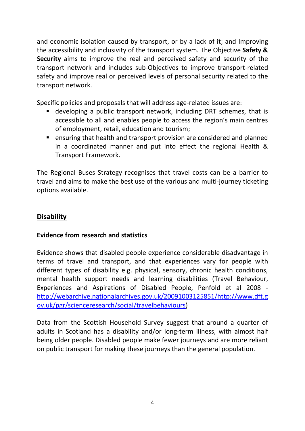and economic isolation caused by transport, or by a lack of it; and Improving the accessibility and inclusivity of the transport system. The Objective **Safety & Security** aims to improve the real and perceived safety and security of the transport network and includes sub-Objectives to improve transport-related safety and improve real or perceived levels of personal security related to the transport network.

Specific policies and proposals that will address age-related issues are:

- developing a public transport network, including DRT schemes, that is accessible to all and enables people to access the region's main centres of employment, retail, education and tourism;
- **E** ensuring that health and transport provision are considered and planned in a coordinated manner and put into effect the regional Health & Transport Framework.

The Regional Buses Strategy recognises that travel costs can be a barrier to travel and aims to make the best use of the various and multi-journey ticketing options available.

# **Disability**

## **Evidence from research and statistics**

Evidence shows that disabled people experience considerable disadvantage in terms of travel and transport, and that experiences vary for people with different types of disability e.g. physical, sensory, chronic health conditions, mental health support needs and learning disabilities (Travel Behaviour, Experiences and Aspirations of Disabled People, Penfold et al 2008 [http://webarchive.nationalarchives.gov.uk/20091003125851/http://www.dft.g](http://webarchive.nationalarchives.gov.uk/20091003125851/http:/www.dft.gov.uk/pgr/scienceresearch/social/travelbehaviours) [ov.uk/pgr/scienceresearch/social/travelbehaviours\)](http://webarchive.nationalarchives.gov.uk/20091003125851/http:/www.dft.gov.uk/pgr/scienceresearch/social/travelbehaviours)

Data from the Scottish Household Survey suggest that around a quarter of adults in Scotland has a disability and/or long-term illness, with almost half being older people. Disabled people make fewer journeys and are more reliant on public transport for making these journeys than the general population.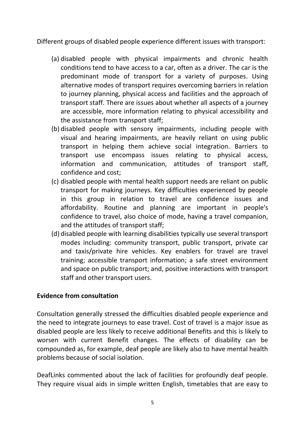Different groups of disabled people experience different issues with transport:

- (a) disabled people with physical impairments and chronic health conditions tend to have access to a car, often as a driver. The car is the predominant mode of transport for a variety of purposes. Using alternative modes of transport requires overcoming barriers in relation to journey planning, physical access and facilities and the approach of transport staff. There are issues about whether all aspects of a journey are accessible, more information relating to physical accessibility and the assistance from transport staff;
- (b) disabled people with sensory impairments, including people with visual and hearing impairments, are heavily reliant on using public transport in helping them achieve social integration. Barriers to transport use encompass issues relating to physical access, information and communication, attitudes of transport staff, confidence and cost;
- (c) disabled people with mental health support needs are reliant on public transport for making journeys. Key difficulties experienced by people in this group in relation to travel are confidence issues and affordability. Routine and planning are important in people's confidence to travel, also choice of mode, having a travel companion, and the attitudes of transport staff;
- (d) disabled people with learning disabilities typically use several transport modes including: community transport, public transport, private car and taxis/private hire vehicles. Key enablers for travel are travel training; accessible transport information; a safe street environment and space on public transport; and, positive interactions with transport staff and other transport users.

# **Evidence from consultation**

Consultation generally stressed the difficulties disabled people experience and the need to integrate journeys to ease travel. Cost of travel is a major issue as disabled people are less likely to receive additional Benefits and this is likely to worsen with current Benefit changes. The effects of disability can be compounded as, for example, deaf people are likely also to have mental health problems because of social isolation.

DeafLinks commented about the lack of facilities for profoundly deaf people. They require visual aids in simple written English, timetables that are easy to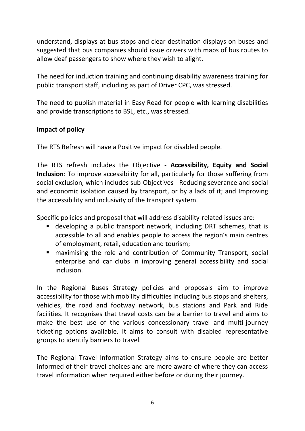understand, displays at bus stops and clear destination displays on buses and suggested that bus companies should issue drivers with maps of bus routes to allow deaf passengers to show where they wish to alight.

The need for induction training and continuing disability awareness training for public transport staff, including as part of Driver CPC, was stressed.

The need to publish material in Easy Read for people with learning disabilities and provide transcriptions to BSL, etc., was stressed.

# **Impact of policy**

The RTS Refresh will have a Positive impact for disabled people.

The RTS refresh includes the Objective - **Accessibility, Equity and Social Inclusion**: To improve accessibility for all, particularly for those suffering from social exclusion, which includes sub-Objectives - Reducing severance and social and economic isolation caused by transport, or by a lack of it; and Improving the accessibility and inclusivity of the transport system.

Specific policies and proposal that will address disability-related issues are:

- developing a public transport network, including DRT schemes, that is accessible to all and enables people to access the region's main centres of employment, retail, education and tourism;
- maximising the role and contribution of Community Transport, social enterprise and car clubs in improving general accessibility and social inclusion.

In the Regional Buses Strategy policies and proposals aim to improve accessibility for those with mobility difficulties including bus stops and shelters, vehicles, the road and footway network, bus stations and Park and Ride facilities. It recognises that travel costs can be a barrier to travel and aims to make the best use of the various concessionary travel and multi-journey ticketing options available. It aims to consult with disabled representative groups to identify barriers to travel.

The Regional Travel Information Strategy aims to ensure people are better informed of their travel choices and are more aware of where they can access travel information when required either before or during their journey.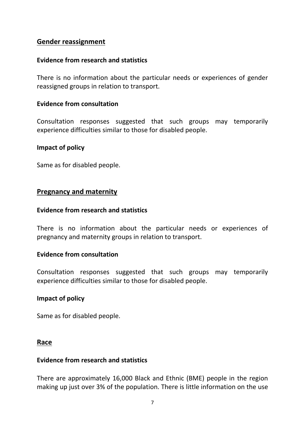## **Gender reassignment**

## **Evidence from research and statistics**

There is no information about the particular needs or experiences of gender reassigned groups in relation to transport.

## **Evidence from consultation**

Consultation responses suggested that such groups may temporarily experience difficulties similar to those for disabled people.

#### **Impact of policy**

Same as for disabled people.

### **Pregnancy and maternity**

#### **Evidence from research and statistics**

There is no information about the particular needs or experiences of pregnancy and maternity groups in relation to transport.

#### **Evidence from consultation**

Consultation responses suggested that such groups may temporarily experience difficulties similar to those for disabled people.

#### **Impact of policy**

Same as for disabled people.

#### **Race**

## **Evidence from research and statistics**

There are approximately 16,000 Black and Ethnic (BME) people in the region making up just over 3% of the population. There is little information on the use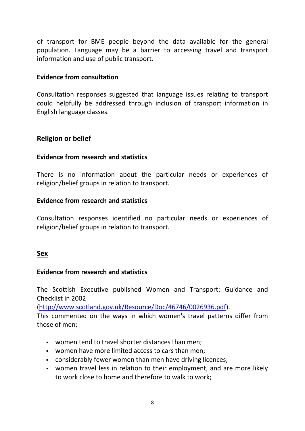of transport for BME people beyond the data available for the general population. Language may be a barrier to accessing travel and transport information and use of public transport.

## **Evidence from consultation**

Consultation responses suggested that language issues relating to transport could helpfully be addressed through inclusion of transport information in English language classes.

# **Religion or belief**

## **Evidence from research and statistics**

There is no information about the particular needs or experiences of religion/belief groups in relation to transport.

## **Evidence from research and statistics**

Consultation responses identified no particular needs or experiences of religion/belief groups in relation to transport.

## **Sex**

## **Evidence from research and statistics**

The Scottish Executive published Women and Transport: Guidance and Checklist in 2002

[\(http://www.scotland.gov.uk/Resource/Doc/46746/0026936.pdf\)](http://www.scotland.gov.uk/Resource/Doc/46746/0026936.pdf).

This commented on the ways in which women's travel patterns differ from those of men:

- women tend to travel shorter distances than men;
- women have more limited access to cars than men;
- considerably fewer women than men have driving licences;
- women travel less in relation to their employment, and are more likely to work close to home and therefore to walk to work;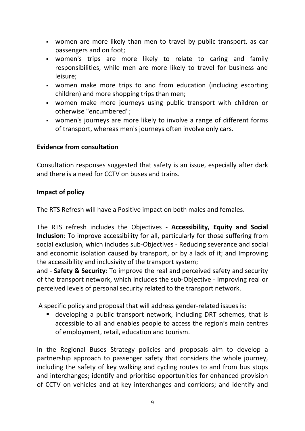- women are more likely than men to travel by public transport, as car passengers and on foot;
- women's trips are more likely to relate to caring and family responsibilities, while men are more likely to travel for business and leisure;
- women make more trips to and from education (including escorting children) and more shopping trips than men;
- women make more journeys using public transport with children or otherwise "encumbered";
- women's journeys are more likely to involve a range of different forms of transport, whereas men's journeys often involve only cars.

## **Evidence from consultation**

Consultation responses suggested that safety is an issue, especially after dark and there is a need for CCTV on buses and trains.

## **Impact of policy**

The RTS Refresh will have a Positive impact on both males and females.

The RTS refresh includes the Objectives - **Accessibility, Equity and Social Inclusion**: To improve accessibility for all, particularly for those suffering from social exclusion, which includes sub-Objectives - Reducing severance and social and economic isolation caused by transport, or by a lack of it; and Improving the accessibility and inclusivity of the transport system;

and - **Safety & Security**: To improve the real and perceived safety and security of the transport network, which includes the sub-Objective - Improving real or perceived levels of personal security related to the transport network.

A specific policy and proposal that will address gender-related issues is:

 developing a public transport network, including DRT schemes, that is accessible to all and enables people to access the region's main centres of employment, retail, education and tourism.

In the Regional Buses Strategy policies and proposals aim to develop a partnership approach to passenger safety that considers the whole journey, including the safety of key walking and cycling routes to and from bus stops and interchanges; identify and prioritise opportunities for enhanced provision of CCTV on vehicles and at key interchanges and corridors; and identify and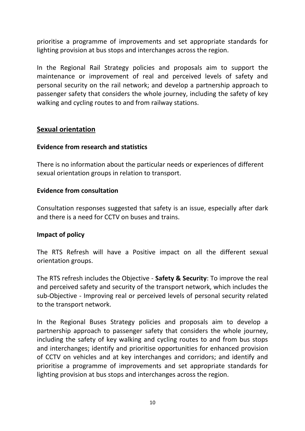prioritise a programme of improvements and set appropriate standards for lighting provision at bus stops and interchanges across the region.

In the Regional Rail Strategy policies and proposals aim to support the maintenance or improvement of real and perceived levels of safety and personal security on the rail network; and develop a partnership approach to passenger safety that considers the whole journey, including the safety of key walking and cycling routes to and from railway stations.

## **Sexual orientation**

### **Evidence from research and statistics**

There is no information about the particular needs or experiences of different sexual orientation groups in relation to transport.

### **Evidence from consultation**

Consultation responses suggested that safety is an issue, especially after dark and there is a need for CCTV on buses and trains.

## **Impact of policy**

The RTS Refresh will have a Positive impact on all the different sexual orientation groups.

The RTS refresh includes the Objective - **Safety & Security**: To improve the real and perceived safety and security of the transport network, which includes the sub-Objective - Improving real or perceived levels of personal security related to the transport network.

In the Regional Buses Strategy policies and proposals aim to develop a partnership approach to passenger safety that considers the whole journey, including the safety of key walking and cycling routes to and from bus stops and interchanges; identify and prioritise opportunities for enhanced provision of CCTV on vehicles and at key interchanges and corridors; and identify and prioritise a programme of improvements and set appropriate standards for lighting provision at bus stops and interchanges across the region.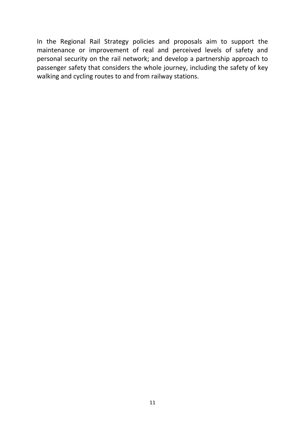In the Regional Rail Strategy policies and proposals aim to support the maintenance or improvement of real and perceived levels of safety and personal security on the rail network; and develop a partnership approach to passenger safety that considers the whole journey, including the safety of key walking and cycling routes to and from railway stations.